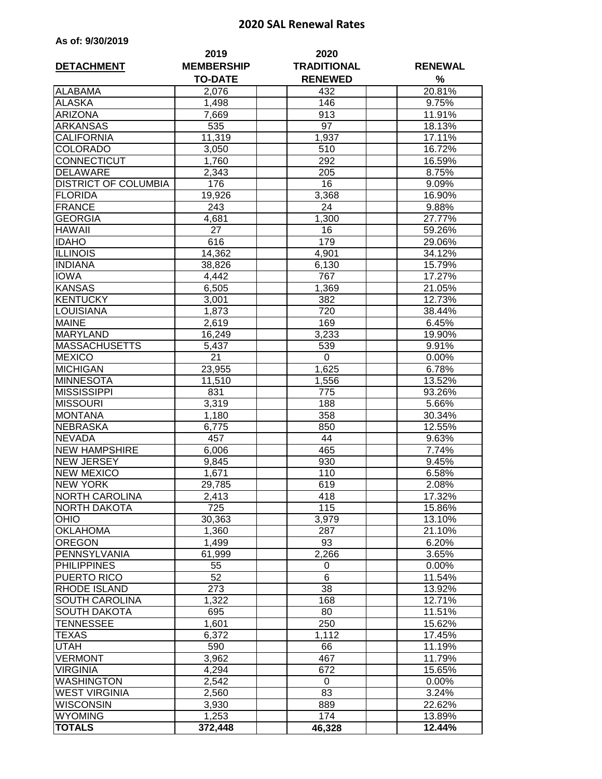## **2020 SAL Renewal Rates**

|  |  | As of: 9/30/2019 |  |  |
|--|--|------------------|--|--|
|--|--|------------------|--|--|

| <b>DETACHMENT</b>           | 2019<br><b>MEMBERSHIP</b> | 2020<br><b>TRADITIONAL</b> | <b>RENEWAL</b> |
|-----------------------------|---------------------------|----------------------------|----------------|
|                             | <b>TO-DATE</b>            | <b>RENEWED</b>             | %              |
| <b>ALABAMA</b>              | 2,076                     | 432                        | 20.81%         |
| <b>ALASKA</b>               | 1,498                     | 146                        | 9.75%          |
| <b>ARIZONA</b>              | 7,669                     | 913                        | 11.91%         |
| <b>ARKANSAS</b>             | 535                       | 97                         | 18.13%         |
| <b>CALIFORNIA</b>           | 11,319                    | 1,937                      | 17.11%         |
| <b>COLORADO</b>             | 3,050                     | 510                        | 16.72%         |
| CONNECTICUT                 | 1,760                     | 292                        | 16.59%         |
| <b>DELAWARE</b>             | 2,343                     | 205                        | 8.75%          |
| <b>DISTRICT OF COLUMBIA</b> | 176                       | $\overline{16}$            | 9.09%          |
| <b>FLORIDA</b>              | 19,926                    | 3,368                      | 16.90%         |
| <b>FRANCE</b>               | 243                       | 24                         | 9.88%          |
| <b>GEORGIA</b>              | 4,681                     | 1,300                      | 27.77%         |
| <b>HAWAII</b>               | 27                        | 16                         | 59.26%         |
| <b>IDAHO</b>                | 616                       | 179                        | 29.06%         |
| <b>ILLINOIS</b>             | 14,362                    | 4,901                      | 34.12%         |
| <b>INDIANA</b>              | 38,826                    | 6,130                      | 15.79%         |
| <b>IOWA</b>                 | 4,442                     | 767                        | 17.27%         |
| <b>KANSAS</b>               | 6,505                     | 1,369                      | 21.05%         |
| <b>KENTUCKY</b>             | 3,001                     | 382                        | 12.73%         |
| LOUISIANA                   | 1,873                     | 720                        | 38.44%         |
| <b>MAINE</b>                | 2,619                     | 169                        | 6.45%          |
| <b>MARYLAND</b>             | 16,249                    | 3,233                      | 19.90%         |
| <b>MASSACHUSETTS</b>        | 5,437                     | 539                        | 9.91%          |
| <b>MEXICO</b>               | 21                        | $\mathbf 0$                | 0.00%          |
| <b>MICHIGAN</b>             | 23,955                    | 1,625                      | 6.78%          |
| <b>MINNESOTA</b>            | 11,510                    | 1,556                      | 13.52%         |
| <b>MISSISSIPPI</b>          | 831                       | 775                        | 93.26%         |
| <b>MISSOURI</b>             | 3,319                     | 188                        | 5.66%          |
| <b>MONTANA</b>              | 1,180                     | 358                        | 30.34%         |
| <b>NEBRASKA</b>             | 6,775                     | 850                        | 12.55%         |
| <b>NEVADA</b>               | 457                       | 44                         | 9.63%          |
| <b>NEW HAMPSHIRE</b>        | 6,006                     | 465                        | 7.74%          |
| <b>NEW JERSEY</b>           | 9,845                     | 930                        | 9.45%          |
| <b>NEW MEXICO</b>           | 1,671                     | 110                        | 6.58%          |
| <b>NEW YORK</b>             | 29,785                    | 619                        | 2.08%          |
| <b>NORTH CAROLINA</b>       | 2,413                     | 418                        | 17.32%         |
| NORTH DAKOTA                | 725                       | 115                        | 15.86%         |
| <b>OHIO</b>                 | 30,363                    | 3,979                      | 13.10%         |
| <b>OKLAHOMA</b>             | 1,360                     | 287                        | 21.10%         |
| <b>OREGON</b>               | 1,499                     | 93                         | 6.20%          |
| PENNSYLVANIA                | 61,999                    | 2,266                      | 3.65%          |
| <b>PHILIPPINES</b>          | 55                        | 0                          | 0.00%          |
| PUERTO RICO                 | 52                        | 6                          | 11.54%         |
| RHODE ISLAND                | 273                       | 38                         | 13.92%         |
| SOUTH CAROLINA              | 1,322                     | 168                        | 12.71%         |
| <b>SOUTH DAKOTA</b>         | 695                       | 80                         | 11.51%         |
| TENNESSEE                   | 1,601                     | 250                        | 15.62%         |
| TEXAS                       | 6,372                     | 1,112                      | 17.45%         |
| UTAH                        | 590                       | 66                         | 11.19%         |
| <b>VERMONT</b>              | 3,962                     | 467                        | 11.79%         |
| <b>VIRGINIA</b>             | 4,294                     | 672                        | 15.65%         |
| <b>WASHINGTON</b>           | 2,542                     | 0                          | 0.00%          |
| <b>WEST VIRGINIA</b>        | 2,560                     | 83                         | 3.24%          |
| <b>WISCONSIN</b>            | 3,930                     | 889                        | 22.62%         |
| <b>WYOMING</b>              | 1,253                     | 174                        | 13.89%         |
| <b>TOTALS</b>               | 372,448                   | 46,328                     | 12.44%         |